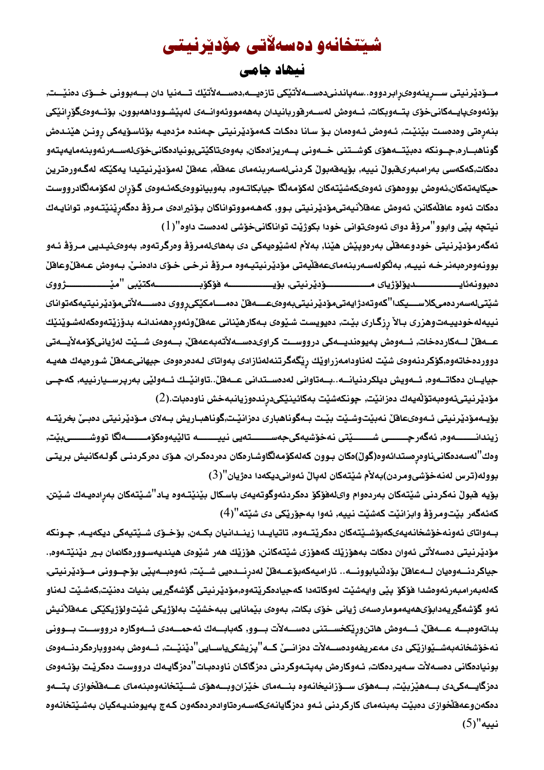## شينتخانەو دەسەلاتى مۆديرنيتى

## نيهاد جامي

مـــوّدێرنيتى ســـرِينهوهىرِابردووه..سەپاندنىدەســـەلأتێكى تازەيــــە,دەســـەلأتێك تــــەنيا دان بــــەبوونى خـــوّى دەنێـــت, بۆئەوەىپايــەكانىخۆى پتــەوبكات, ئــەوەش لەســەرڧوربانيدان بەھەمووئەوانــەى لەپێشــووداھەبوون, بۆئــەوەىگۆرانێكى بنەرەتى وەدەست بێنێت, ئـﻪوەش ئـﻪوەمان بـۆ سـانا دەكـات كـﻪمۆدێرنيتى چـﻪندە مژدەيـﻪ بۆئاسـۆيـﻪكى رونـن هێنـﺪەش گوناهبــاره,جــونكه دەبێتـــەهۆى كوشــتنى خـــەونى بـــەريزادەكان, بـەوەىتاكێتىبونيادەكانىخۆىلەســەرئەوبنەمايەيتەو دەكات,كەكەسى بەرامبەرىقبولْ نييە, بۆيەقەبولْ كردنىلەسەربنەماى عەقلْە, عەقلْ لەمۆدێرنيتيدا يەكێكە لەگەورەترين حيكايهتهكان,ئەوەش بووەھۆى ئەوەىكەشێتەكان لەكۆمەلگا جيابكاتـەوە, بەوبيانووەىكەئـەوەى گـۆران لەكۆمەلگادرووست دمكات ئەوە عاقلەكانن, ئەوەش عەقلانيەتىمۆديرنيتى بـوو, كەھـەمووتواناكان بـوْئيرادەى مـروْﭬ دەگەرِينىيّتـەوە, توانايـەك نيتچه پێي وابوو"مروّڤ دواي ئەوەىتوانى خودا بكوژيْت تواناكانىخوّشى لەدەست داوە"(1)

ئەگەرمۆدێرنیتی خودوعەقلّی بەرەوپێش ھێنا, بەلأم لەشێوەيەكى دى بەھاىلەمرۆۋ وەرگرتەوە, بەوەئئیديى مـرۆۋ ئـەو بوونهوهرهبهنرخه نييـه, بهالكولهسـهربنهماىعهقليهتى مؤديرنيتيـهوه مـرؤف نرخى خـوّى دادهنـيّ, بـهوهش عـهفلّ(وعافلّ شێتىلەسەردەمىكلاســــيكدا''كەوتەدژايەتىمۆدێرنيتىبەوەىعــــەقلْ دەمــــامكێكىڕووى دەســــەلأتىمۆدێرنيتيەكەتواناى نييەلەخودييەتوهزرى بـالأ رِزگـارى بێـت, دەيويست شـێوەى بـەكارهێنانى عەقلٚوئەورەھەندانـە بدۆزێتەوەكەلەشـوێنێك عــەقلْ لــەكاردەخات, ئــەوەش پەيوەنديــەكى درووســت كراوىدەســەلأتەبەعەقلْ, بــەوەى شــێت لەژيانىكۆمەلأيــەتى دووردهخاتهوه,كۆكردنهوهى شێت لەناودامەزراوێك رێگەگرتنەلەئازادى بەواتاى لـەدەرەوەى جيهانىعـەفلڵ شـورەيەك ھەيـە جيايــان دەكاتــەوە, ئــەويش ديلكردنيانـــە..بــەتاوانى لەدەســتدانى عــەقلْ..تاوانێــك ئــەولێى بەرپرســيارنييە, كەچــى مۆدێرنيتىئەوەبەتۆڵەيەك دەزانێت, چونكەشێت بەكائينێكىدرندەوزيانبەخش ناودەبات.(2)

بۆيـەمۆدێرنيتى ئـەوەىعاقلْ نەبێتوشـێت بێـت بـەگوناھبارى دەزانێـت,گوناھبـاريش بـەلاى مـۆدێرنيتى دەبـێ بخرێتـە زيندانــــــــــهوه, ئەگەرچــــــــى شــــــــێتى نەخۆشيەكىجەســـــــتەيى نييــــــــــه تالێيەوەكۆمــــــــــهالگا تووشــــــــىبێت, وەك"لەسەدەكانىناوەرەستدائەوە(گوڵ)ەكان بـوون كەلەكۆمەلگاوشـارەكان دەردەكـران, ھۆى دەركردنـى گولـەكانيش بريتـى بووله(ترس لەنەخۆشىومردن)بەلأم شێتەكان لەپالْ ئەوانىديكەدا دەژيان''(3)

بۆيە فبولْ نەكردنى شێتەكان بەردەوام واىلەفۆكۆ دەكردئەوگوتەيەى باسكال بێنێتـەوە يـاد''شێتەكان بەرِادەيـەك شێتن, كەئەگەر بێتومرۆﭬ وابزانێت كەشێت نييە, ئەوا بەجۆرێكى دى شێتە''(4)

بــەواتاى ئەونەخۆشخانەيەىكەبۆشــێتەكان دەكرێتــەوە, تاتيايــدا زينــدانيان بكــەن, بۆخــۆى شــێتيەكى ديكەيــە, چــونكە مۆدێرنیتی دەسەلأتی ئەوان دەكات بەھۆزێك كەھۆزى شێتەكانن, ھۆزێك ھەر شێوەى ھیندیەسـوورەكانمان بـير دێنێتـەوە,. جياكردنـــەوەيان لـــەعافلْ بۆدلْنيابوونـــە.. ئاراميەكەبۆعـــەفلْ لەدرنـــدەيي شـــيْت, ئەوەبـــەييْي بۆجــوونى مـــوديرنيتي, كەلەبەرامبەرئەوەشدا فۆكۆ پێى وايەشێت لەوكاتەدا كەجيادەكرێتەوە,مۆدێرنيتى گۆشەگيريى بنيات دەنێت,كەشێت لـەناو ئەو گۆشەگيريەدابۆىھەيەمومارەسەى ژيانى خۆى بكات, بەوەى بێمانايى ببەخشێت بەلۆژيكى شێتولۆژيكێكى عـﻪقلاٚنيش بداتهوهبـــه عــــهقلٌ, ئــــهومش هاتنوريْكخســـتنى دمســــهلأت بـــوو, كهبابــــهك ئهحمــــهدى ئــــهوكاره درووســـت بـــوونى نهخوشخانهبهشــێوازێکی دی مهعریفهودهســهلات دهزانــێ کــه''پزیشکییاســایی''دێنێــت, ئــهوهش بهدووبارهکردنــهوهی بونيادمكانى دم*س*ەلأت سەيردمكات, ئـەوكارەش بەپتـەوكردنى دەزگاكـان ناودەبـات''دەزگايـەك درووسـت دەكرێت بۆئـەوەى دەزگايـــەكىدى بـــەهێزبێت, بـــەهۆى ســـۆزانيخانـەوە بنــــەماى خێزان9بـــەهۆى شـــێتخانـەوەبنـەماى عـــەقڵخوازى پتــــەو دمكەن وعەقلخوازى دەبێت بەبنەماي كاركردنى ئـەو دەزگايانـەيكەسـەرەتاوادەردەكەون كـەج پەيوەنديـەكيان بەشـێتخانـەوە نييه"(5)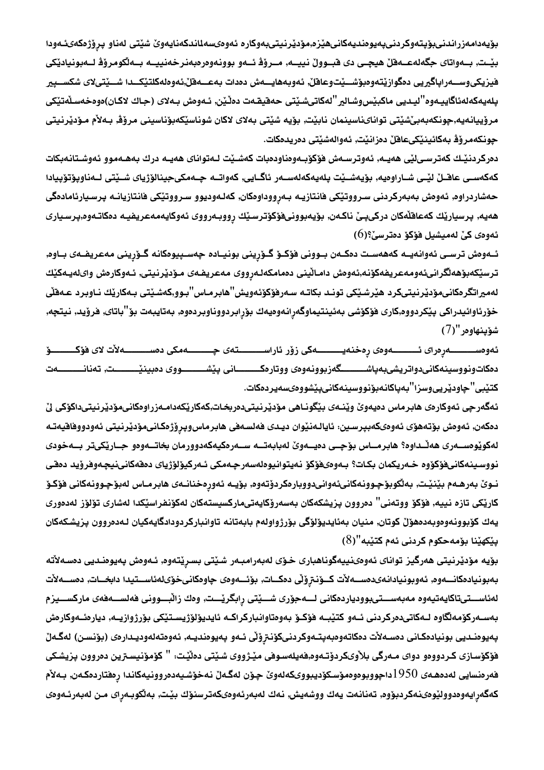بۆيەدامەزراندنىبۆپتەوكردنىپەيوەنديەكانىھێزە,مۆدێرنيتىبەوكارە ئەوەىسەلمندكەنايەوێ شێتى لەناو پرۆژەكەىئـەودا بێـت, بــەواتاى جگەلەعــەقلٚ ھيچـى دى قبــوولْ نييــە, مــروّف ئــەو بوونەوەرەبەنرخەنييــە بــەلْكومروّف لــەبونيادێكى فيزيكىوســــەراپاگيريى دەگوازينتەوەبۆشـــيْتوعاقلْ, ئەوبەھايــــەش دەدات بەعــــەقلْ,ئەوەلەكلتێكـــدا شـــيْتىلاى شكســـپير بِلەيەكەلەئاگاييـەوە''ليـديى ماكبێسوشـالير''لەكاتىشـێتى حەقيقـەت دەڵێن, ئـەوەش بـەلاى (جـاك لاكـان)ەوەخەسـڵەتێكى مرۆييانەيە,جونكەبەبىٚشێتى تواناىناسينمان نابێت, بۆيە شێتى بەلاى لاكان شوناسێكەبۆناسينى مرۆﭬ, بـﻪلأم مـۆدێرنيتى جونكەمرۆۋ بەكائينێكىعاقلْ دەزانێت, ئەوالەشێتى دەريدەكات.

دەركردنيك كەترسىڭى ھەيـە, ئەوترسـەش فۆكۆبـەوەناودەبات كەشـيْت لـەتواناى ھەيـە درك بەھـەموو ئەوشـتانـەبكات كەكەسـى عاقــلْ لێـى شــاراوەيە, بۆيەشــێت پلەيەكەلەســەر ئاگــايى, كەواتــە چــەمكىجينالۆژياى شــێتى لــەناوپۆتۆپيادا حەشاردراوه, ئەوەش بەبەركردنى سـرووتێكى فانتازيـه بـەرووداومكان, كەلـەوديوو سـرووتێكى فانتازيانـه پرسـيارئامادەگى هەيە, پرسيارێك كەعاقلەكان دركىپێ ناكەن, بۆيەبوونىڧۆكۆترسێك رووبەرووى ئەوكايەمەعريفيە دەكاتـەوە,پرسـيارى ئەوەى كىْ لەميشيل فۆكۆ دەترسىْ؟(6)

ئــەوەش ترســى ئەوانەيــە كەھەســت دەكـەن بــوونى فۆكــۆ گــۆرينى بونيــادە چەســپيوەكانە گــۆرينى مەعريفــەى بــاوە, ترسێكەبۆھەلگرانىئەومەعريفەكۆنە,ئەوەش دامـاڵينى دەمامكەلـەرووى مەعريفـەى مـۆدێرنيتى, ئـەوكارەش واىلەيـەكێك لەميراتگرەكانىمۆدێرنىتىكرد ھێرشێكى تونـد بكاتـه سـەرڧۆكۆئەويش''ھابرمـاس''بـوو,كەشـێتى بـەكارێك نـاوبرد عـەقڵى خۆرئاوائيدراكى پێكردووه,كارى فۆكۆشى بەئينتيماوگەرانەوەيەك بۆرابردووناوبردەوە, بەتايبەت بۆ''باتاى, فرۆيد, نيتچە, شۆپنھاوەر "(7)

.<br>ئەوەســــــــــەرِەراى ئـــــــــــــەوەى رِەخنەيــــــــــــەكى زۆر ئاراســــــــــتەى چــــــــــەمكى دەســـــــــــەلأت لاى فۆكــــــــــــوّ دمكاتونووسينهكانىدواتريشىبهپاشــــــــگەزبوونەوەى ووتارەكــــــــــانى پێشـــــــــووى دەبينێــــــــــت, تەنانـــــــــــەت كتێ*بی*"حاودێرییوسزا"بەپاكانەبۆنووسینەكانیپێشووە*یسە*يردەكات.

ئەگەرچى ئەوكارەى ھابرماس دەيەوێ وێنـەى بێگونـاھى مۆدێرنيتىدەربخـات,كەكارێكەدامـەزراوەكانىمۆدێرنيتىداكۆكى لێ دەكەن, ئەومش بۆتەھۆى ئەوەىكەبپرسين. ئايالەنێوان ديـدى ڧەلسـەڧى ھابرماس9پرۆژەكانىمۆدێرنيتى ئەودووڧاقيەتـە لەكويوەســەرى ھەڭـداوە؟ ھابرمــاس بۆچــى دەيــەوێ لەبابەتــە ســەرەكيەكەدوورمان بخاتــەوەو جــاريكىتر بــەخودى نووسينهكانيفوكووه خەريكمان بكات؟ بـەوەىفوكو نەيتوانيوەلەسەرجـەمكى ئـەركيولوژياى دەقەكانىنيچەوفروّيد دەقى نــوێ بـەرھــەم بێنێـت, بـەڵكوبۆچـوونـەكانىئـەوانىدووبارمكردۆتـەوم, بۆيــە ئـەورمخنانــەى ھابرمــاس لەبۆچـوونـەكانى فۆكـۆ كاريكي تازه نييه, فۆكۆ ووتەنى'' دەروون پزيشكەكان بەسەرۆكايەتىماركسيستەكان لەكۆنفراسيكدا لەشارى تۆلۆز لەدەورى يەك كۆبوونەوەوبەدەھۆلْ كوتان, منيان بەئايديۆلۆگى بۆرژواولەم بابەتانە تاوانباركردودادگايەكيان لـەدەروون پزيشكەكان پێكهێنا بۆمەحكوم كردنى ئەم كتێبە''(8)

بۆيە مۆدێرنيتى ھەرگيز تواناى ئەوەىنييەگوناھبارى خۆى لەبەرامبەر شێتى بسرێتەوە, ئـەوەش پەيوەنـديى دەسـەلأتە بەبونيادەكانــەوە, ئەوبونيادانەىدەســەلأت كــۆنترۆٽى دەكــات, بۆئــەوەى چاوەكانىخۆىلەئاســتيدا دابخــات, دەســەلأت لەئاســـتىتاكايەتيەوە مەبەســـتىبوودياردەكانى لـــەجۆرى شـــێتى رِابگرێـــت, وەك زاڵبـــوونى ڧەلســـەڧەى ماركســـيزم بەسـەركۆمەلگاوە لـەكاتىدەركردنى ئـەو كتيبـە فۆكـۆ بەوەتاوانباركراكـە ئايديۆلۈژيسـتيكى بۆرژوازيـە, ديارەئـەوكارەش پەيوەنـديى بونيادەكـانى دەسـەلأت دەكاتەوەبەپتـەوكردنىكۆنىزِۆٽى ئـەو پەيوەنديـە, ئەوەتەلەوديـدارەى (بۆنسـن) لەگـەلّ فۆكۆسازى كردوومو دواى مـەرگى بلاوىكردۆتـەوم.فەيلەسـوفى مێـژووى شـێتى دەڵێـت: " كۆمۆنيسـترين دەروون پـزيشـكى فەرەنسايى لەدەھـەى 1950داجووبوەوەمۆسـكۆديبووىكەلەوێ چـۆن لەگـەلْ نـەخۆشـيەدەروونـيەكاندا رەڧتاردەكـەن, بـەلأم كەگەرايەوەدوولێوەىنەكردبۆوە, تەنانەت يەك ووشەيش, نەك لەبەرئەوەىكەترسنۆك بێت, بەلكوبەراى مـن لەبەرئـەوەى